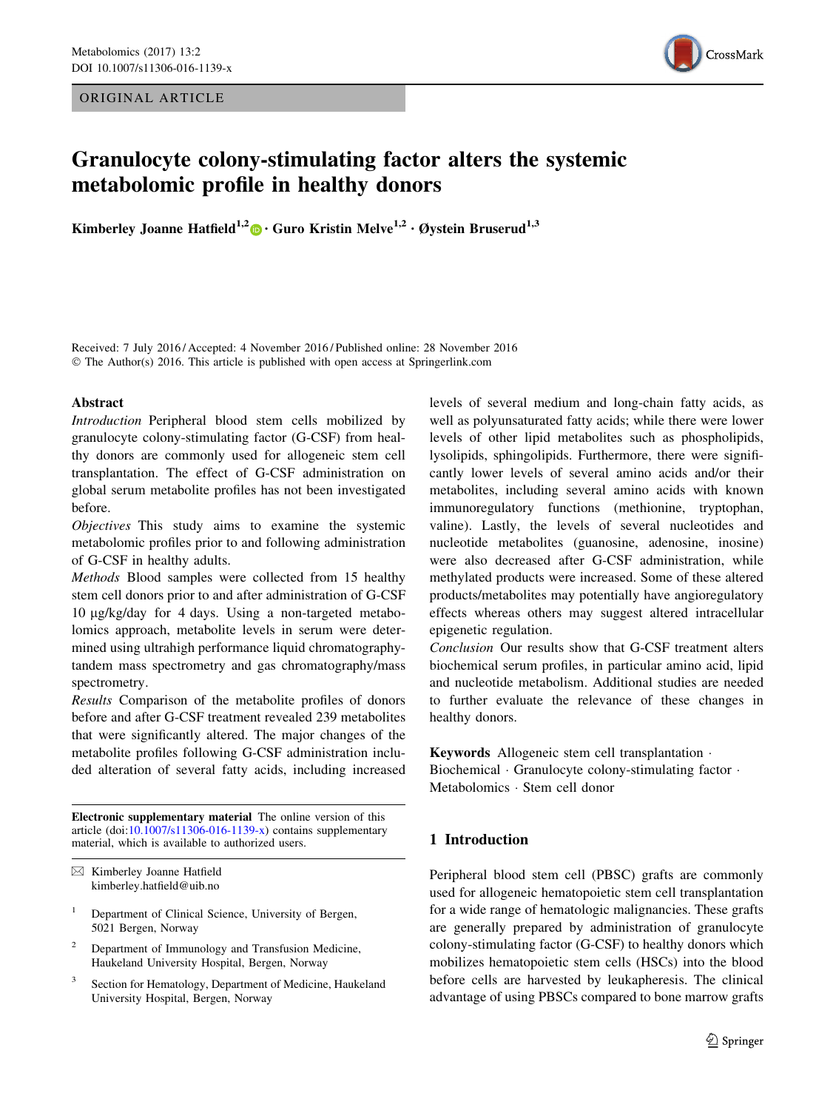ORIGINAL ARTICLE



# Granulocyte colony-stimulating factor alters the systemic metabolomic profile in healthy donors

Kimberley Joanne Hatfield<sup>1,2</sup>  $\bullet$  · Guro Kristin Melve<sup>1,2</sup> · Øystein Bruserud<sup>1,3</sup>

Received: 7 July 2016 / Accepted: 4 November 2016 / Published online: 28 November 2016 © The Author(s) 2016. This article is published with open access at Springerlink.com

#### Abstract

Introduction Peripheral blood stem cells mobilized by granulocyte colony-stimulating factor (G-CSF) from healthy donors are commonly used for allogeneic stem cell transplantation. The effect of G-CSF administration on global serum metabolite profiles has not been investigated before.

Objectives This study aims to examine the systemic metabolomic profiles prior to and following administration of G-CSF in healthy adults.

Methods Blood samples were collected from 15 healthy stem cell donors prior to and after administration of G-CSF 10 lg/kg/day for 4 days. Using a non-targeted metabolomics approach, metabolite levels in serum were determined using ultrahigh performance liquid chromatographytandem mass spectrometry and gas chromatography/mass spectrometry.

Results Comparison of the metabolite profiles of donors before and after G-CSF treatment revealed 239 metabolites that were significantly altered. The major changes of the metabolite profiles following G-CSF administration included alteration of several fatty acids, including increased

Electronic supplementary material The online version of this article (doi:[10.1007/s11306-016-1139-x\)](http://dx.doi.org/10.1007/s11306-016-1139-x) contains supplementary material, which is available to authorized users.

- <sup>1</sup> Department of Clinical Science, University of Bergen, 5021 Bergen, Norway
- <sup>2</sup> Department of Immunology and Transfusion Medicine, Haukeland University Hospital, Bergen, Norway
- Section for Hematology, Department of Medicine, Haukeland University Hospital, Bergen, Norway

levels of several medium and long-chain fatty acids, as well as polyunsaturated fatty acids; while there were lower levels of other lipid metabolites such as phospholipids, lysolipids, sphingolipids. Furthermore, there were significantly lower levels of several amino acids and/or their metabolites, including several amino acids with known immunoregulatory functions (methionine, tryptophan, valine). Lastly, the levels of several nucleotides and nucleotide metabolites (guanosine, adenosine, inosine) were also decreased after G-CSF administration, while methylated products were increased. Some of these altered products/metabolites may potentially have angioregulatory effects whereas others may suggest altered intracellular epigenetic regulation.

Conclusion Our results show that G-CSF treatment alters biochemical serum profiles, in particular amino acid, lipid and nucleotide metabolism. Additional studies are needed to further evaluate the relevance of these changes in healthy donors.

Keywords Allogeneic stem cell transplantation - Biochemical - Granulocyte colony-stimulating factor - Metabolomics - Stem cell donor

# 1 Introduction

Peripheral blood stem cell (PBSC) grafts are commonly used for allogeneic hematopoietic stem cell transplantation for a wide range of hematologic malignancies. These grafts are generally prepared by administration of granulocyte colony-stimulating factor (G-CSF) to healthy donors which mobilizes hematopoietic stem cells (HSCs) into the blood before cells are harvested by leukapheresis. The clinical advantage of using PBSCs compared to bone marrow grafts

<sup>&</sup>amp; Kimberley Joanne Hatfield kimberley.hatfield@uib.no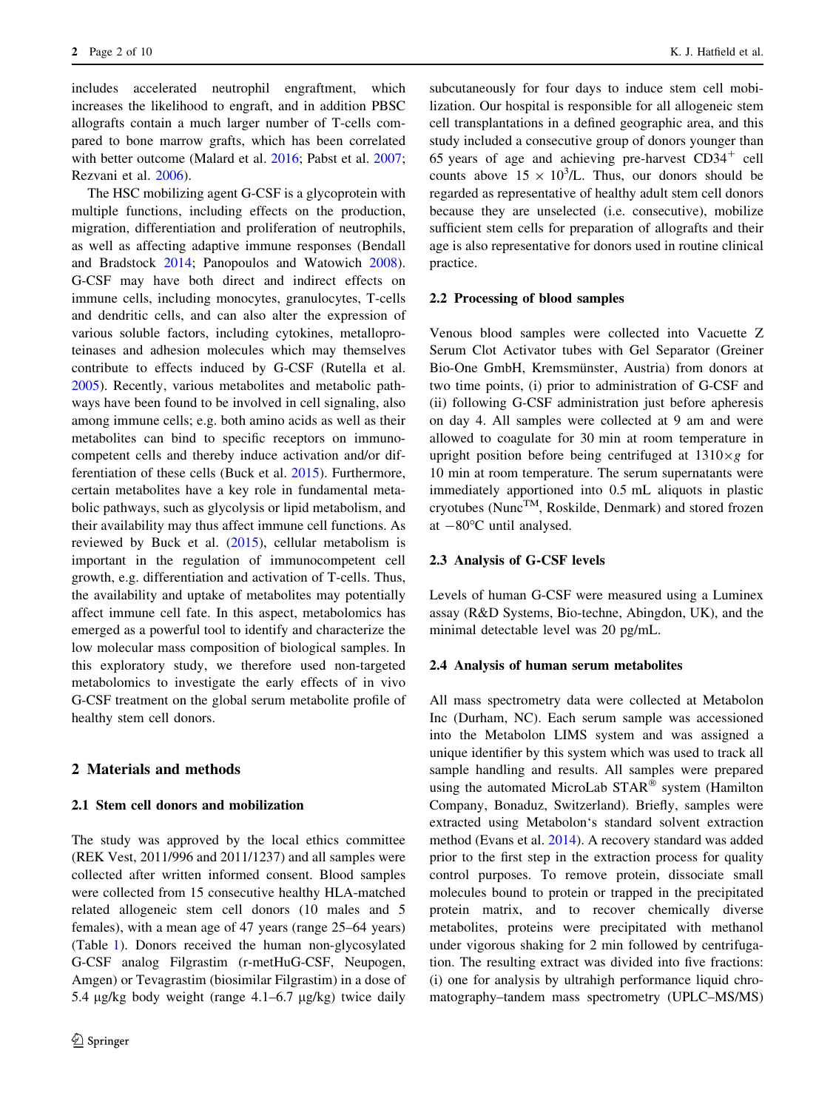includes accelerated neutrophil engraftment, which increases the likelihood to engraft, and in addition PBSC allografts contain a much larger number of T-cells compared to bone marrow grafts, which has been correlated with better outcome (Malard et al. [2016](#page-9-0); Pabst et al. [2007](#page-9-0); Rezvani et al. [2006\)](#page-9-0).

The HSC mobilizing agent G-CSF is a glycoprotein with multiple functions, including effects on the production, migration, differentiation and proliferation of neutrophils, as well as affecting adaptive immune responses (Bendall and Bradstock [2014;](#page-8-0) Panopoulos and Watowich [2008](#page-9-0)). G-CSF may have both direct and indirect effects on immune cells, including monocytes, granulocytes, T-cells and dendritic cells, and can also alter the expression of various soluble factors, including cytokines, metalloproteinases and adhesion molecules which may themselves contribute to effects induced by G-CSF (Rutella et al. [2005\)](#page-9-0). Recently, various metabolites and metabolic pathways have been found to be involved in cell signaling, also among immune cells; e.g. both amino acids as well as their metabolites can bind to specific receptors on immunocompetent cells and thereby induce activation and/or differentiation of these cells (Buck et al. [2015\)](#page-8-0). Furthermore, certain metabolites have a key role in fundamental metabolic pathways, such as glycolysis or lipid metabolism, and their availability may thus affect immune cell functions. As reviewed by Buck et al. ([2015](#page-8-0)), cellular metabolism is important in the regulation of immunocompetent cell growth, e.g. differentiation and activation of T-cells. Thus, the availability and uptake of metabolites may potentially affect immune cell fate. In this aspect, metabolomics has emerged as a powerful tool to identify and characterize the low molecular mass composition of biological samples. In this exploratory study, we therefore used non-targeted metabolomics to investigate the early effects of in vivo G-CSF treatment on the global serum metabolite profile of healthy stem cell donors.

#### 2 Materials and methods

#### 2.1 Stem cell donors and mobilization

The study was approved by the local ethics committee (REK Vest, 2011/996 and 2011/1237) and all samples were collected after written informed consent. Blood samples were collected from 15 consecutive healthy HLA-matched related allogeneic stem cell donors (10 males and 5 females), with a mean age of 47 years (range 25–64 years) (Table [1](#page-2-0)). Donors received the human non-glycosylated G-CSF analog Filgrastim (r-metHuG-CSF, Neupogen, Amgen) or Tevagrastim (biosimilar Filgrastim) in a dose of 5.4  $\mu$ g/kg body weight (range 4.1–6.7  $\mu$ g/kg) twice daily subcutaneously for four days to induce stem cell mobilization. Our hospital is responsible for all allogeneic stem cell transplantations in a defined geographic area, and this study included a consecutive group of donors younger than 65 years of age and achieving pre-harvest  $CD34<sup>+</sup>$  cell counts above  $15 \times 10^3$ /L. Thus, our donors should be regarded as representative of healthy adult stem cell donors because they are unselected (i.e. consecutive), mobilize sufficient stem cells for preparation of allografts and their age is also representative for donors used in routine clinical practice.

#### 2.2 Processing of blood samples

Venous blood samples were collected into Vacuette Z Serum Clot Activator tubes with Gel Separator (Greiner Bio-One GmbH, Kremsmünster, Austria) from donors at two time points, (i) prior to administration of G-CSF and (ii) following G-CSF administration just before apheresis on day 4. All samples were collected at 9 am and were allowed to coagulate for 30 min at room temperature in upright position before being centrifuged at  $1310 \times g$  for 10 min at room temperature. The serum supernatants were immediately apportioned into 0.5 mL aliquots in plastic cryotubes (Nunc<sup>TM</sup>, Roskilde, Denmark) and stored frozen at  $-80^{\circ}$ C until analysed.

#### 2.3 Analysis of G-CSF levels

Levels of human G-CSF were measured using a Luminex assay (R&D Systems, Bio-techne, Abingdon, UK), and the minimal detectable level was 20 pg/mL.

#### 2.4 Analysis of human serum metabolites

All mass spectrometry data were collected at Metabolon Inc (Durham, NC). Each serum sample was accessioned into the Metabolon LIMS system and was assigned a unique identifier by this system which was used to track all sample handling and results. All samples were prepared using the automated MicroLab STAR<sup>®</sup> system (Hamilton Company, Bonaduz, Switzerland). Briefly, samples were extracted using Metabolon's standard solvent extraction method (Evans et al. [2014\)](#page-8-0). A recovery standard was added prior to the first step in the extraction process for quality control purposes. To remove protein, dissociate small molecules bound to protein or trapped in the precipitated protein matrix, and to recover chemically diverse metabolites, proteins were precipitated with methanol under vigorous shaking for 2 min followed by centrifugation. The resulting extract was divided into five fractions: (i) one for analysis by ultrahigh performance liquid chromatography–tandem mass spectrometry (UPLC–MS/MS)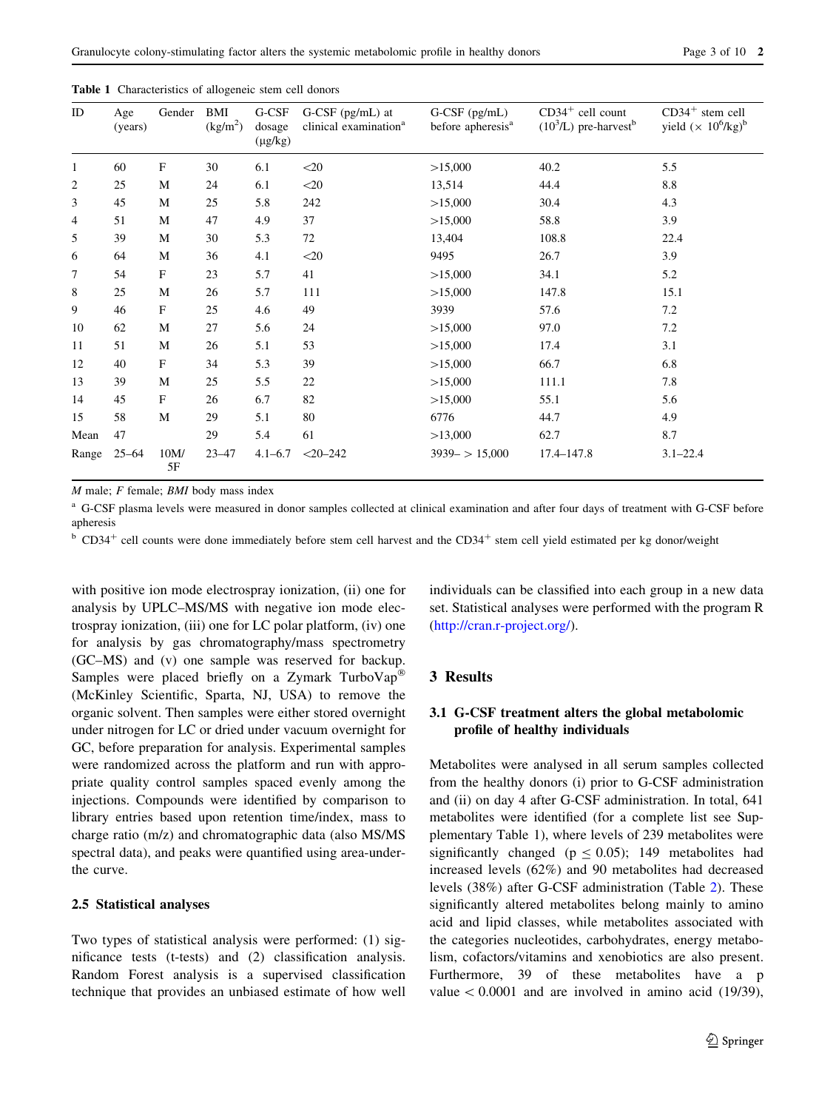| ID             | Age<br>(years) | Gender       | BMI<br>(kg/m <sup>2</sup> ) | G-CSF<br>dosage<br>$(\mu g/kg)$ | G-CSF (pg/mL) at<br>clinical examination <sup>a</sup> | G-CSF (pg/mL)<br>before apheresis <sup>a</sup> | $CD34+$ cell count<br>$(10^3/L)$ pre-harvest <sup>b</sup> | $CD34+$ stem cell<br>yield $(\times 10^6/kg)^b$ |
|----------------|----------------|--------------|-----------------------------|---------------------------------|-------------------------------------------------------|------------------------------------------------|-----------------------------------------------------------|-------------------------------------------------|
| $\mathbf{1}$   | 60             | F            | 30                          | 6.1                             | $<$ 20                                                | >15,000                                        | 40.2                                                      | 5.5                                             |
| $\overline{2}$ | 25             | M            | 24                          | 6.1                             | $<$ 20                                                | 13,514                                         | 44.4                                                      | 8.8                                             |
| 3              | 45             | M            | 25                          | 5.8                             | 242                                                   | >15,000                                        | 30.4                                                      | 4.3                                             |
| 4              | 51             | M            | 47                          | 4.9                             | 37                                                    | >15,000                                        | 58.8                                                      | 3.9                                             |
| 5              | 39             | M            | 30                          | 5.3                             | 72                                                    | 13,404                                         | 108.8                                                     | 22.4                                            |
| 6              | 64             | M            | 36                          | 4.1                             | $<$ 20                                                | 9495                                           | 26.7                                                      | 3.9                                             |
| 7              | 54             | $\mathbf{F}$ | 23                          | 5.7                             | 41                                                    | >15,000                                        | 34.1                                                      | 5.2                                             |
| 8              | 25             | M            | 26                          | 5.7                             | 111                                                   | >15,000                                        | 147.8                                                     | 15.1                                            |
| 9              | 46             | $\mathbf{F}$ | 25                          | 4.6                             | 49                                                    | 3939                                           | 57.6                                                      | 7.2                                             |
| 10             | 62             | M            | 27                          | 5.6                             | 24                                                    | >15,000                                        | 97.0                                                      | 7.2                                             |
| 11             | 51             | M            | 26                          | 5.1                             | 53                                                    | >15,000                                        | 17.4                                                      | 3.1                                             |
| 12             | 40             | $\mathbf{F}$ | 34                          | 5.3                             | 39                                                    | >15,000                                        | 66.7                                                      | 6.8                                             |
| 13             | 39             | M            | 25                          | 5.5                             | 22                                                    | >15,000                                        | 111.1                                                     | 7.8                                             |
| 14             | 45             | $\mathbf{F}$ | 26                          | 6.7                             | 82                                                    | >15,000                                        | 55.1                                                      | 5.6                                             |
| 15             | 58             | M            | 29                          | 5.1                             | 80                                                    | 6776                                           | 44.7                                                      | 4.9                                             |
| Mean           | 47             |              | 29                          | 5.4                             | 61                                                    | >13,000                                        | 62.7                                                      | 8.7                                             |
| Range          | $25 - 64$      | 10M/<br>5F   | $23 - 47$                   | $4.1 - 6.7$                     | $<$ 20-242                                            | $3939 - 15,000$                                | 17.4-147.8                                                | $3.1 - 22.4$                                    |

<span id="page-2-0"></span>Table 1 Characteristics of allogeneic stem cell donors

 $M$  male;  $F$  female;  $BMI$  body mass index

<sup>a</sup> G-CSF plasma levels were measured in donor samples collected at clinical examination and after four days of treatment with G-CSF before apheresis

 $b$  CD34<sup>+</sup> cell counts were done immediately before stem cell harvest and the CD34<sup>+</sup> stem cell yield estimated per kg donor/weight

with positive ion mode electrospray ionization, (ii) one for analysis by UPLC–MS/MS with negative ion mode electrospray ionization, (iii) one for LC polar platform, (iv) one for analysis by gas chromatography/mass spectrometry (GC–MS) and (v) one sample was reserved for backup. Samples were placed briefly on a Zymark TurboVap<sup>®</sup> (McKinley Scientific, Sparta, NJ, USA) to remove the organic solvent. Then samples were either stored overnight under nitrogen for LC or dried under vacuum overnight for GC, before preparation for analysis. Experimental samples were randomized across the platform and run with appropriate quality control samples spaced evenly among the injections. Compounds were identified by comparison to library entries based upon retention time/index, mass to charge ratio (m/z) and chromatographic data (also MS/MS spectral data), and peaks were quantified using area-underthe curve.

#### 2.5 Statistical analyses

Two types of statistical analysis were performed: (1) significance tests (t-tests) and (2) classification analysis. Random Forest analysis is a supervised classification technique that provides an unbiased estimate of how well individuals can be classified into each group in a new data set. Statistical analyses were performed with the program R [\(http://cran.r-project.org/](http://cran.r-project.org/)).

#### 3 Results

## 3.1 G-CSF treatment alters the global metabolomic profile of healthy individuals

Metabolites were analysed in all serum samples collected from the healthy donors (i) prior to G-CSF administration and (ii) on day 4 after G-CSF administration. In total, 641 metabolites were identified (for a complete list see Supplementary Table 1), where levels of 239 metabolites were significantly changed ( $p \le 0.05$ ); 149 metabolites had increased levels (62%) and 90 metabolites had decreased levels (38%) after G-CSF administration (Table [2](#page-3-0)). These significantly altered metabolites belong mainly to amino acid and lipid classes, while metabolites associated with the categories nucleotides, carbohydrates, energy metabolism, cofactors/vitamins and xenobiotics are also present. Furthermore, 39 of these metabolites have a p value  $\lt$  0.0001 and are involved in amino acid (19/39),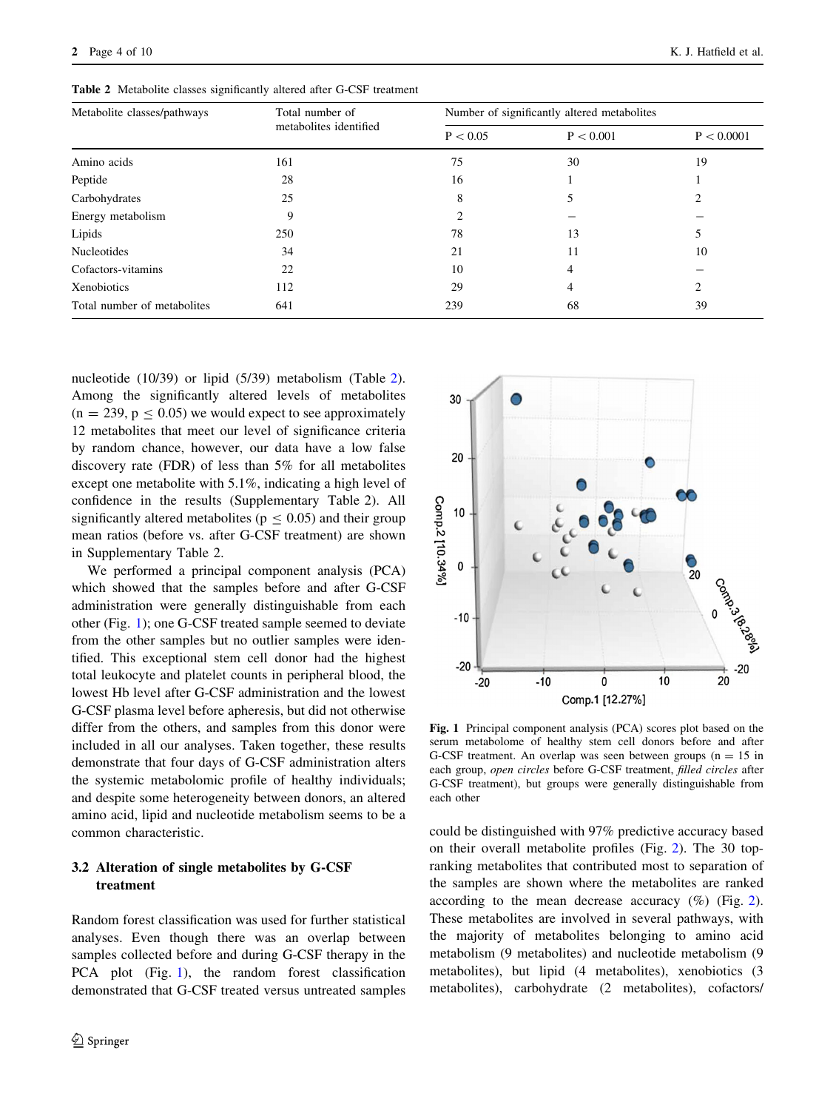| Metabolite classes/pathways | Total number of        | Number of significantly altered metabolites |           |            |  |
|-----------------------------|------------------------|---------------------------------------------|-----------|------------|--|
|                             | metabolites identified | P < 0.05                                    | P < 0.001 | P < 0.0001 |  |
| Amino acids                 | 161                    | 75                                          | 30        | 19         |  |
| Peptide                     | 28                     | 16                                          |           |            |  |
| Carbohydrates               | 25                     | 8                                           |           |            |  |
| Energy metabolism           | 9                      |                                             |           |            |  |
| Lipids                      | 250                    | 78                                          | 13        | 5          |  |
| <b>Nucleotides</b>          | 34                     | 21                                          | 11        | 10         |  |
| Cofactors-vitamins          | 22                     | 10                                          | 4         |            |  |
| Xenobiotics                 | 112                    | 29                                          | 4         | ◠          |  |
| Total number of metabolites | 641                    | 239                                         | 68        | 39         |  |

<span id="page-3-0"></span>Table 2 Metabolite classes significantly altered after G-CSF treatment

nucleotide (10/39) or lipid (5/39) metabolism (Table 2). Among the significantly altered levels of metabolites  $(n = 239, p \le 0.05)$  we would expect to see approximately 12 metabolites that meet our level of significance criteria by random chance, however, our data have a low false discovery rate (FDR) of less than 5% for all metabolites except one metabolite with 5.1%, indicating a high level of confidence in the results (Supplementary Table 2). All significantly altered metabolites ( $p \le 0.05$ ) and their group mean ratios (before vs. after G-CSF treatment) are shown in Supplementary Table 2.

We performed a principal component analysis (PCA) which showed that the samples before and after G-CSF administration were generally distinguishable from each other (Fig. 1); one G-CSF treated sample seemed to deviate from the other samples but no outlier samples were identified. This exceptional stem cell donor had the highest total leukocyte and platelet counts in peripheral blood, the lowest Hb level after G-CSF administration and the lowest G-CSF plasma level before apheresis, but did not otherwise differ from the others, and samples from this donor were included in all our analyses. Taken together, these results demonstrate that four days of G-CSF administration alters the systemic metabolomic profile of healthy individuals; and despite some heterogeneity between donors, an altered amino acid, lipid and nucleotide metabolism seems to be a common characteristic.

# 3.2 Alteration of single metabolites by G-CSF treatment

Random forest classification was used for further statistical analyses. Even though there was an overlap between samples collected before and during G-CSF therapy in the PCA plot (Fig. 1), the random forest classification demonstrated that G-CSF treated versus untreated samples



Fig. 1 Principal component analysis (PCA) scores plot based on the serum metabolome of healthy stem cell donors before and after G-CSF treatment. An overlap was seen between groups  $(n = 15$  in each group, open circles before G-CSF treatment, filled circles after G-CSF treatment), but groups were generally distinguishable from each other

could be distinguished with 97% predictive accuracy based on their overall metabolite profiles (Fig. [2\)](#page-4-0). The 30 topranking metabolites that contributed most to separation of the samples are shown where the metabolites are ranked according to the mean decrease accuracy  $(\%)$  (Fig. [2](#page-4-0)). These metabolites are involved in several pathways, with the majority of metabolites belonging to amino acid metabolism (9 metabolites) and nucleotide metabolism (9 metabolites), but lipid (4 metabolites), xenobiotics (3 metabolites), carbohydrate (2 metabolites), cofactors/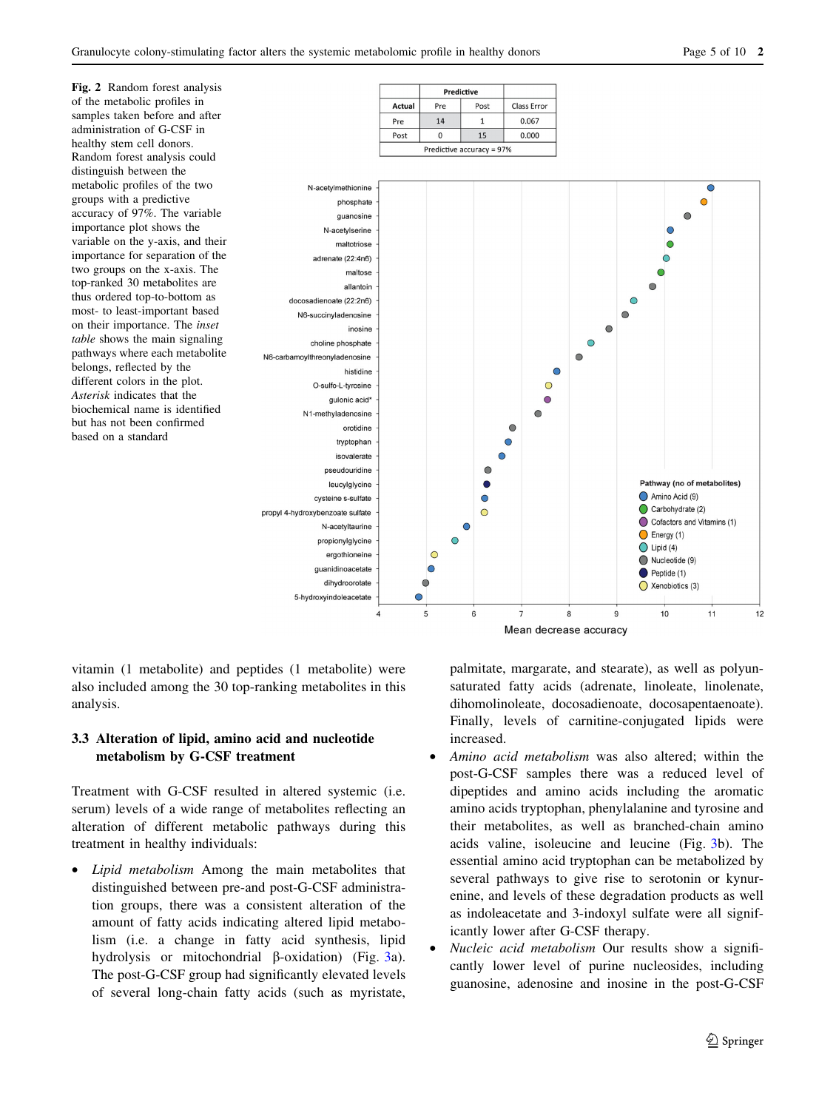<span id="page-4-0"></span>

Mean decrease accuracy

vitamin (1 metabolite) and peptides (1 metabolite) were also included among the 30 top-ranking metabolites in this analysis.

# 3.3 Alteration of lipid, amino acid and nucleotide metabolism by G-CSF treatment

Treatment with G-CSF resulted in altered systemic (i.e. serum) levels of a wide range of metabolites reflecting an alteration of different metabolic pathways during this treatment in healthy individuals:

Lipid metabolism Among the main metabolites that distinguished between pre-and post-G-CSF administration groups, there was a consistent alteration of the amount of fatty acids indicating altered lipid metabolism (i.e. a change in fatty acid synthesis, lipid hydrolysis or mitochondrial  $\beta$ -oxidation) (Fig. [3a](#page-5-0)). The post-G-CSF group had significantly elevated levels of several long-chain fatty acids (such as myristate, palmitate, margarate, and stearate), as well as polyunsaturated fatty acids (adrenate, linoleate, linolenate, dihomolinoleate, docosadienoate, docosapentaenoate). Finally, levels of carnitine-conjugated lipids were increased.

- Amino acid metabolism was also altered; within the post-G-CSF samples there was a reduced level of dipeptides and amino acids including the aromatic amino acids tryptophan, phenylalanine and tyrosine and their metabolites, as well as branched-chain amino acids valine, isoleucine and leucine (Fig. [3](#page-5-0)b). The essential amino acid tryptophan can be metabolized by several pathways to give rise to serotonin or kynurenine, and levels of these degradation products as well as indoleacetate and 3-indoxyl sulfate were all significantly lower after G-CSF therapy.
- Nucleic acid metabolism Our results show a significantly lower level of purine nucleosides, including guanosine, adenosine and inosine in the post-G-CSF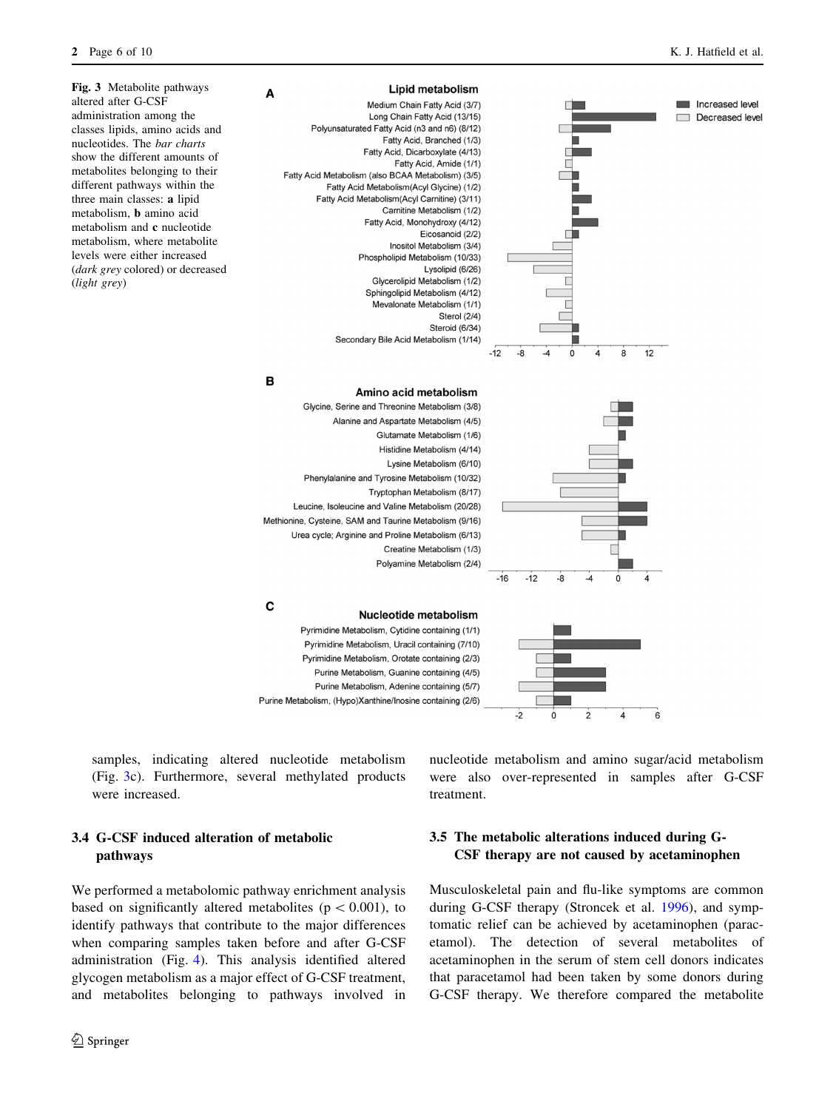Increased level Decreased level

<span id="page-5-0"></span>

#### Lipid metabolism

| Medium Chain Fatty Acid (3/7)                      |
|----------------------------------------------------|
| Long Chain Fatty Acid (13/15)                      |
| Polyunsaturated Fatty Acid (n3 and n6) (8/12)      |
| Fatty Acid, Branched (1/3)                         |
| Fatty Acid, Dicarboxylate (4/13)                   |
| Fatty Acid, Amide (1/1)                            |
| Fatty Acid Metabolism (also BCAA Metabolism) (3/5) |
| Fatty Acid Metabolism (Acyl Glycine) (1/2)         |
| Fatty Acid Metabolism (Acyl Carnitine) (3/11)      |
| Carnitine Metabolism (1/2)                         |
| Fatty Acid, Monohydroxy (4/12)                     |
| Eicosanoid (2/2)                                   |
| Inositol Metabolism (3/4)                          |
| Phospholipid Metabolism (10/33)                    |
| Lysolipid (6/26)                                   |
| Glycerolipid Metabolism (1/2)                      |
| Sphingolipid Metabolism (4/12)                     |
| Mevalonate Metabolism (1/1)                        |
| Sterol (2/4)                                       |
| Steroid (6/34)                                     |
| Secondary Bile Acid Metabolism (1/14)              |
|                                                    |

 $\Omega$ 

 $12$ 

8

A



 $-12$  $-8$ 

samples, indicating altered nucleotide metabolism (Fig. 3c). Furthermore, several methylated products were increased.

# 3.4 G-CSF induced alteration of metabolic pathways

We performed a metabolomic pathway enrichment analysis based on significantly altered metabolites ( $p \lt 0.001$ ), to identify pathways that contribute to the major differences when comparing samples taken before and after G-CSF administration (Fig. [4\)](#page-6-0). This analysis identified altered glycogen metabolism as a major effect of G-CSF treatment, and metabolites belonging to pathways involved in nucleotide metabolism and amino sugar/acid metabolism were also over-represented in samples after G-CSF treatment.

6

# 3.5 The metabolic alterations induced during G-CSF therapy are not caused by acetaminophen

Musculoskeletal pain and flu-like symptoms are common during G-CSF therapy (Stroncek et al. [1996\)](#page-9-0), and symptomatic relief can be achieved by acetaminophen (paracetamol). The detection of several metabolites of acetaminophen in the serum of stem cell donors indicates that paracetamol had been taken by some donors during G-CSF therapy. We therefore compared the metabolite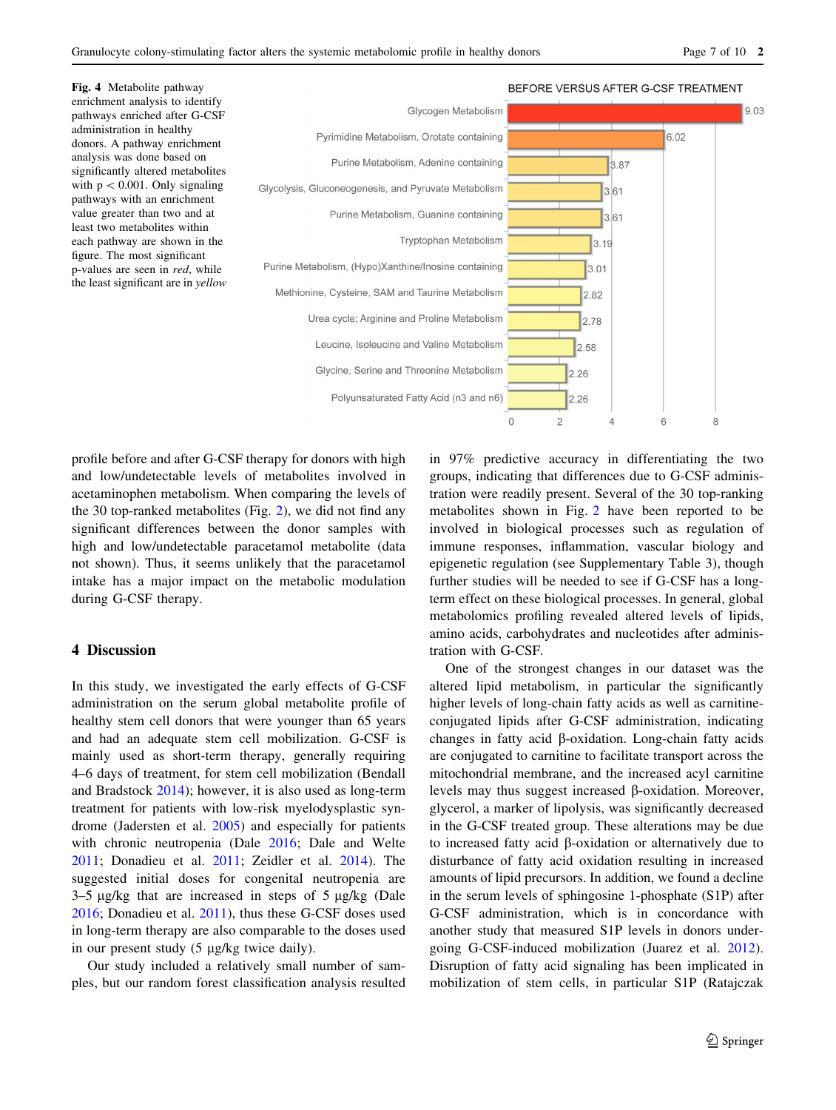<span id="page-6-0"></span>

profile before and after G-CSF therapy for donors with high and low/undetectable levels of metabolites involved in acetaminophen metabolism. When comparing the levels of the 30 top-ranked metabolites (Fig. [2\)](#page-4-0), we did not find any significant differences between the donor samples with high and low/undetectable paracetamol metabolite (data not shown). Thus, it seems unlikely that the paracetamol intake has a major impact on the metabolic modulation during G-CSF therapy.

#### 4 Discussion

In this study, we investigated the early effects of G-CSF administration on the serum global metabolite profile of healthy stem cell donors that were younger than 65 years and had an adequate stem cell mobilization. G-CSF is mainly used as short-term therapy, generally requiring 4–6 days of treatment, for stem cell mobilization (Bendall and Bradstock [2014\)](#page-8-0); however, it is also used as long-term treatment for patients with low-risk myelodysplastic syndrome (Jadersten et al. [2005](#page-8-0)) and especially for patients with chronic neutropenia (Dale [2016;](#page-8-0) Dale and Welte [2011;](#page-8-0) Donadieu et al. [2011;](#page-8-0) Zeidler et al. [2014](#page-9-0)). The suggested initial doses for congenital neutropenia are  $3-5 \mu g/kg$  that are increased in steps of  $5 \mu g/kg$  (Dale [2016;](#page-8-0) Donadieu et al. [2011](#page-8-0)), thus these G-CSF doses used in long-term therapy are also comparable to the doses used in our present study  $(5 \mu g/kg)$  twice daily).

Our study included a relatively small number of samples, but our random forest classification analysis resulted in 97% predictive accuracy in differentiating the two groups, indicating that differences due to G-CSF administration were readily present. Several of the 30 top-ranking metabolites shown in Fig. [2](#page-4-0) have been reported to be involved in biological processes such as regulation of immune responses, inflammation, vascular biology and epigenetic regulation (see Supplementary Table 3), though further studies will be needed to see if G-CSF has a longterm effect on these biological processes. In general, global metabolomics profiling revealed altered levels of lipids, amino acids, carbohydrates and nucleotides after administration with G-CSF.

One of the strongest changes in our dataset was the altered lipid metabolism, in particular the significantly higher levels of long-chain fatty acids as well as carnitineconjugated lipids after G-CSF administration, indicating changes in fatty acid  $\beta$ -oxidation. Long-chain fatty acids are conjugated to carnitine to facilitate transport across the mitochondrial membrane, and the increased acyl carnitine levels may thus suggest increased  $\beta$ -oxidation. Moreover, glycerol, a marker of lipolysis, was significantly decreased in the G-CSF treated group. These alterations may be due to increased fatty acid b-oxidation or alternatively due to disturbance of fatty acid oxidation resulting in increased amounts of lipid precursors. In addition, we found a decline in the serum levels of sphingosine 1-phosphate (S1P) after G-CSF administration, which is in concordance with another study that measured S1P levels in donors undergoing G-CSF-induced mobilization (Juarez et al. [2012](#page-8-0)). Disruption of fatty acid signaling has been implicated in mobilization of stem cells, in particular S1P (Ratajczak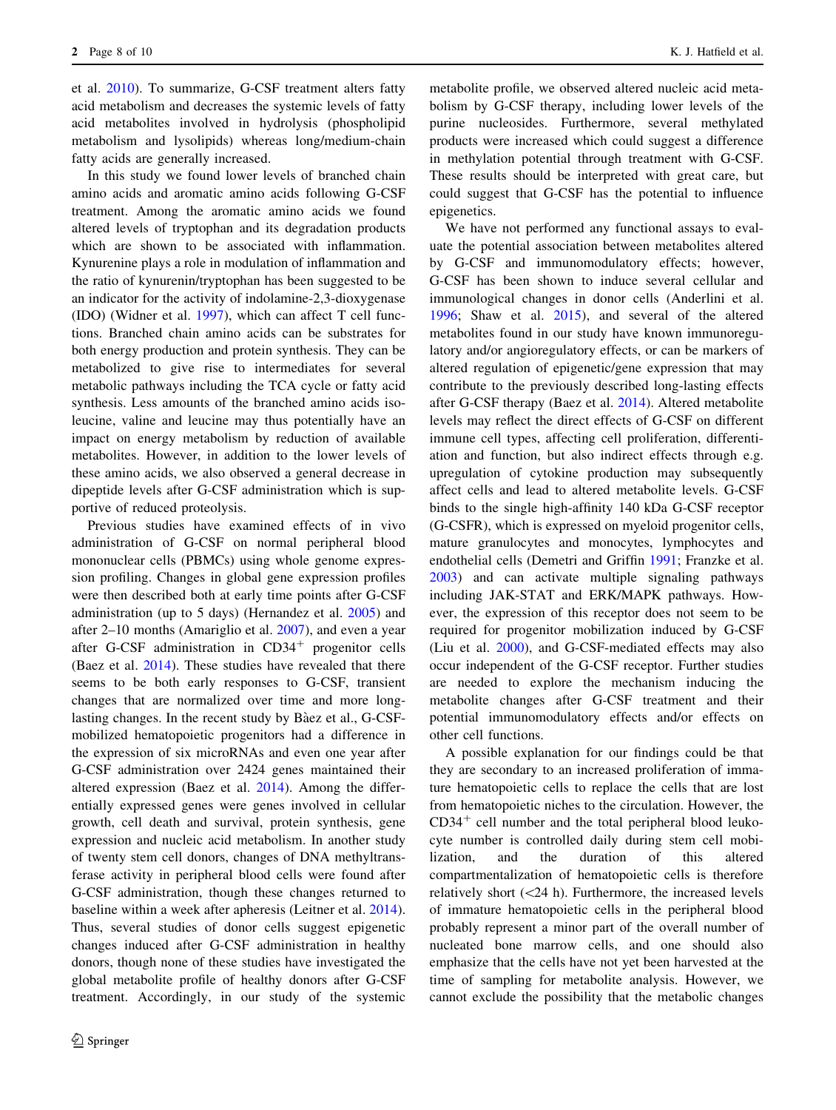et al. [2010\)](#page-9-0). To summarize, G-CSF treatment alters fatty acid metabolism and decreases the systemic levels of fatty acid metabolites involved in hydrolysis (phospholipid metabolism and lysolipids) whereas long/medium-chain fatty acids are generally increased.

In this study we found lower levels of branched chain amino acids and aromatic amino acids following G-CSF treatment. Among the aromatic amino acids we found altered levels of tryptophan and its degradation products which are shown to be associated with inflammation. Kynurenine plays a role in modulation of inflammation and the ratio of kynurenin/tryptophan has been suggested to be an indicator for the activity of indolamine-2,3-dioxygenase (IDO) (Widner et al. [1997\)](#page-9-0), which can affect T cell functions. Branched chain amino acids can be substrates for both energy production and protein synthesis. They can be metabolized to give rise to intermediates for several metabolic pathways including the TCA cycle or fatty acid synthesis. Less amounts of the branched amino acids isoleucine, valine and leucine may thus potentially have an impact on energy metabolism by reduction of available metabolites. However, in addition to the lower levels of these amino acids, we also observed a general decrease in dipeptide levels after G-CSF administration which is supportive of reduced proteolysis.

Previous studies have examined effects of in vivo administration of G-CSF on normal peripheral blood mononuclear cells (PBMCs) using whole genome expression profiling. Changes in global gene expression profiles were then described both at early time points after G-CSF administration (up to 5 days) (Hernandez et al. [2005\)](#page-8-0) and after 2–10 months (Amariglio et al. [2007](#page-8-0)), and even a year after G-CSF administration in  $CD34<sup>+</sup>$  progenitor cells (Baez et al. [2014](#page-8-0)). These studies have revealed that there seems to be both early responses to G-CSF, transient changes that are normalized over time and more longlasting changes. In the recent study by Bàez et al., G-CSFmobilized hematopoietic progenitors had a difference in the expression of six microRNAs and even one year after G-CSF administration over 2424 genes maintained their altered expression (Baez et al. [2014\)](#page-8-0). Among the differentially expressed genes were genes involved in cellular growth, cell death and survival, protein synthesis, gene expression and nucleic acid metabolism. In another study of twenty stem cell donors, changes of DNA methyltransferase activity in peripheral blood cells were found after G-CSF administration, though these changes returned to baseline within a week after apheresis (Leitner et al. [2014](#page-8-0)). Thus, several studies of donor cells suggest epigenetic changes induced after G-CSF administration in healthy donors, though none of these studies have investigated the global metabolite profile of healthy donors after G-CSF treatment. Accordingly, in our study of the systemic

metabolite profile, we observed altered nucleic acid metabolism by G-CSF therapy, including lower levels of the purine nucleosides. Furthermore, several methylated products were increased which could suggest a difference in methylation potential through treatment with G-CSF. These results should be interpreted with great care, but could suggest that G-CSF has the potential to influence epigenetics.

We have not performed any functional assays to evaluate the potential association between metabolites altered by G-CSF and immunomodulatory effects; however, G-CSF has been shown to induce several cellular and immunological changes in donor cells (Anderlini et al. [1996](#page-8-0); Shaw et al. [2015\)](#page-9-0), and several of the altered metabolites found in our study have known immunoregulatory and/or angioregulatory effects, or can be markers of altered regulation of epigenetic/gene expression that may contribute to the previously described long-lasting effects after G-CSF therapy (Baez et al. [2014](#page-8-0)). Altered metabolite levels may reflect the direct effects of G-CSF on different immune cell types, affecting cell proliferation, differentiation and function, but also indirect effects through e.g. upregulation of cytokine production may subsequently affect cells and lead to altered metabolite levels. G-CSF binds to the single high-affinity 140 kDa G-CSF receptor (G-CSFR), which is expressed on myeloid progenitor cells, mature granulocytes and monocytes, lymphocytes and endothelial cells (Demetri and Griffin [1991;](#page-8-0) Franzke et al. [2003](#page-8-0)) and can activate multiple signaling pathways including JAK-STAT and ERK/MAPK pathways. However, the expression of this receptor does not seem to be required for progenitor mobilization induced by G-CSF (Liu et al. [2000\)](#page-9-0), and G-CSF-mediated effects may also occur independent of the G-CSF receptor. Further studies are needed to explore the mechanism inducing the metabolite changes after G-CSF treatment and their potential immunomodulatory effects and/or effects on other cell functions.

A possible explanation for our findings could be that they are secondary to an increased proliferation of immature hematopoietic cells to replace the cells that are lost from hematopoietic niches to the circulation. However, the  $CD34<sup>+</sup>$  cell number and the total peripheral blood leukocyte number is controlled daily during stem cell mobilization, and the duration of this altered compartmentalization of hematopoietic cells is therefore relatively short  $(<24$  h). Furthermore, the increased levels of immature hematopoietic cells in the peripheral blood probably represent a minor part of the overall number of nucleated bone marrow cells, and one should also emphasize that the cells have not yet been harvested at the time of sampling for metabolite analysis. However, we cannot exclude the possibility that the metabolic changes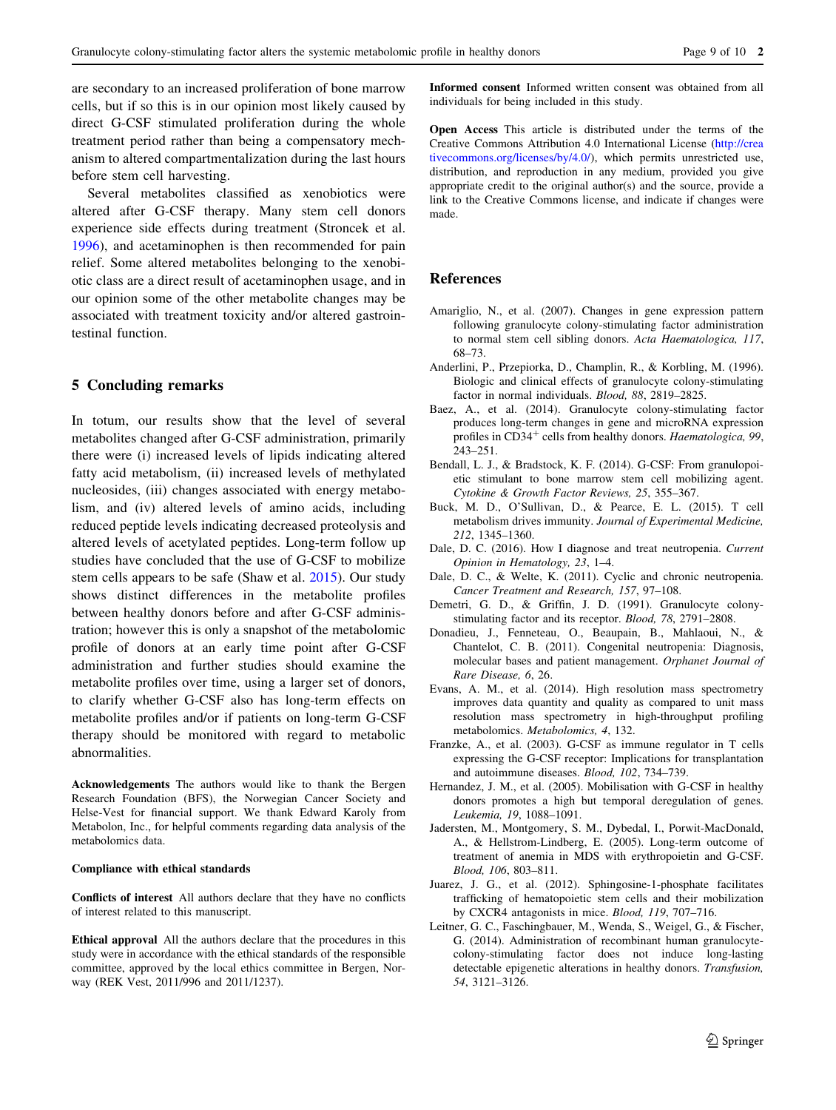<span id="page-8-0"></span>are secondary to an increased proliferation of bone marrow cells, but if so this is in our opinion most likely caused by direct G-CSF stimulated proliferation during the whole treatment period rather than being a compensatory mechanism to altered compartmentalization during the last hours before stem cell harvesting.

Several metabolites classified as xenobiotics were altered after G-CSF therapy. Many stem cell donors experience side effects during treatment (Stroncek et al. [1996\)](#page-9-0), and acetaminophen is then recommended for pain relief. Some altered metabolites belonging to the xenobiotic class are a direct result of acetaminophen usage, and in our opinion some of the other metabolite changes may be associated with treatment toxicity and/or altered gastrointestinal function.

# 5 Concluding remarks

In totum, our results show that the level of several metabolites changed after G-CSF administration, primarily there were (i) increased levels of lipids indicating altered fatty acid metabolism, (ii) increased levels of methylated nucleosides, (iii) changes associated with energy metabolism, and (iv) altered levels of amino acids, including reduced peptide levels indicating decreased proteolysis and altered levels of acetylated peptides. Long-term follow up studies have concluded that the use of G-CSF to mobilize stem cells appears to be safe (Shaw et al. [2015](#page-9-0)). Our study shows distinct differences in the metabolite profiles between healthy donors before and after G-CSF administration; however this is only a snapshot of the metabolomic profile of donors at an early time point after G-CSF administration and further studies should examine the metabolite profiles over time, using a larger set of donors, to clarify whether G-CSF also has long-term effects on metabolite profiles and/or if patients on long-term G-CSF therapy should be monitored with regard to metabolic abnormalities.

Acknowledgements The authors would like to thank the Bergen Research Foundation (BFS), the Norwegian Cancer Society and Helse-Vest for financial support. We thank Edward Karoly from Metabolon, Inc., for helpful comments regarding data analysis of the metabolomics data.

#### Compliance with ethical standards

Conflicts of interest All authors declare that they have no conflicts of interest related to this manuscript.

Ethical approval All the authors declare that the procedures in this study were in accordance with the ethical standards of the responsible committee, approved by the local ethics committee in Bergen, Norway (REK Vest, 2011/996 and 2011/1237).

Informed consent Informed written consent was obtained from all individuals for being included in this study.

Open Access This article is distributed under the terms of the Creative Commons Attribution 4.0 International License ([http://crea](http://creativecommons.org/licenses/by/4.0/) [tivecommons.org/licenses/by/4.0/\)](http://creativecommons.org/licenses/by/4.0/), which permits unrestricted use, distribution, and reproduction in any medium, provided you give appropriate credit to the original author(s) and the source, provide a link to the Creative Commons license, and indicate if changes were made.

#### References

- Amariglio, N., et al. (2007). Changes in gene expression pattern following granulocyte colony-stimulating factor administration to normal stem cell sibling donors. Acta Haematologica, 117, 68–73.
- Anderlini, P., Przepiorka, D., Champlin, R., & Korbling, M. (1996). Biologic and clinical effects of granulocyte colony-stimulating factor in normal individuals. Blood, 88, 2819–2825.
- Baez, A., et al. (2014). Granulocyte colony-stimulating factor produces long-term changes in gene and microRNA expression profiles in CD34<sup>+</sup> cells from healthy donors. Haematologica, 99, 243–251.
- Bendall, L. J., & Bradstock, K. F. (2014). G-CSF: From granulopoietic stimulant to bone marrow stem cell mobilizing agent. Cytokine & Growth Factor Reviews, 25, 355–367.
- Buck, M. D., O'Sullivan, D., & Pearce, E. L. (2015). T cell metabolism drives immunity. Journal of Experimental Medicine, 212, 1345–1360.
- Dale, D. C. (2016). How I diagnose and treat neutropenia. Current Opinion in Hematology, 23, 1–4.
- Dale, D. C., & Welte, K. (2011). Cyclic and chronic neutropenia. Cancer Treatment and Research, 157, 97–108.
- Demetri, G. D., & Griffin, J. D. (1991). Granulocyte colonystimulating factor and its receptor. Blood, 78, 2791–2808.
- Donadieu, J., Fenneteau, O., Beaupain, B., Mahlaoui, N., & Chantelot, C. B. (2011). Congenital neutropenia: Diagnosis, molecular bases and patient management. Orphanet Journal of Rare Disease, 6, 26.
- Evans, A. M., et al. (2014). High resolution mass spectrometry improves data quantity and quality as compared to unit mass resolution mass spectrometry in high-throughput profiling metabolomics. Metabolomics, 4, 132.
- Franzke, A., et al. (2003). G-CSF as immune regulator in T cells expressing the G-CSF receptor: Implications for transplantation and autoimmune diseases. Blood, 102, 734–739.
- Hernandez, J. M., et al. (2005). Mobilisation with G-CSF in healthy donors promotes a high but temporal deregulation of genes. Leukemia, 19, 1088–1091.
- Jadersten, M., Montgomery, S. M., Dybedal, I., Porwit-MacDonald, A., & Hellstrom-Lindberg, E. (2005). Long-term outcome of treatment of anemia in MDS with erythropoietin and G-CSF. Blood, 106, 803–811.
- Juarez, J. G., et al. (2012). Sphingosine-1-phosphate facilitates trafficking of hematopoietic stem cells and their mobilization by CXCR4 antagonists in mice. Blood, 119, 707–716.
- Leitner, G. C., Faschingbauer, M., Wenda, S., Weigel, G., & Fischer, G. (2014). Administration of recombinant human granulocytecolony-stimulating factor does not induce long-lasting detectable epigenetic alterations in healthy donors. Transfusion, 54, 3121–3126.